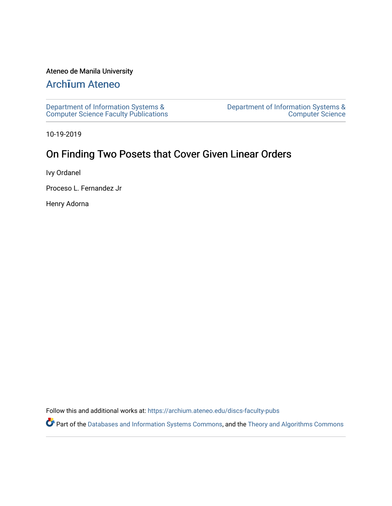# Ateneo de Manila University

# Arch**ī**[um Ateneo](https://archium.ateneo.edu/)

[Department of Information Systems &](https://archium.ateneo.edu/discs-faculty-pubs)  [Computer Science Faculty Publications](https://archium.ateneo.edu/discs-faculty-pubs)  [Department of Information Systems &](https://archium.ateneo.edu/discs)  [Computer Science](https://archium.ateneo.edu/discs) 

10-19-2019

# On Finding Two Posets that Cover Given Linear Orders

Ivy Ordanel

Proceso L. Fernandez Jr

Henry Adorna

Follow this and additional works at: [https://archium.ateneo.edu/discs-faculty-pubs](https://archium.ateneo.edu/discs-faculty-pubs?utm_source=archium.ateneo.edu%2Fdiscs-faculty-pubs%2F299&utm_medium=PDF&utm_campaign=PDFCoverPages) 

Part of the [Databases and Information Systems Commons](http://network.bepress.com/hgg/discipline/145?utm_source=archium.ateneo.edu%2Fdiscs-faculty-pubs%2F299&utm_medium=PDF&utm_campaign=PDFCoverPages), and the [Theory and Algorithms Commons](http://network.bepress.com/hgg/discipline/151?utm_source=archium.ateneo.edu%2Fdiscs-faculty-pubs%2F299&utm_medium=PDF&utm_campaign=PDFCoverPages)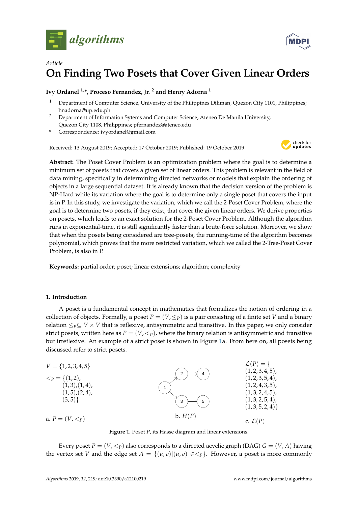



# *Article* **On Finding Two Posets that Cover Given Linear Orders**

# **Ivy Ordanel 1,\*, Proceso Fernandez, Jr. <sup>2</sup> and Henry Adorna <sup>1</sup>**

- <sup>1</sup> Department of Computer Science, University of the Philippines Diliman, Quezon City 1101, Philippines; hnadorna@up.edu.ph
- <sup>2</sup> Department of Information Sytems and Computer Science, Ateneo De Manila University, Quezon City 1108, Philippines; pfernandez@ateneo.edu
- **\*** Correspondence: ivyordanel@gmail.com

Received: 13 August 2019; Accepted: 17 October 2019; Published: 19 October 2019



**Abstract:** The Poset Cover Problem is an optimization problem where the goal is to determine a minimum set of posets that covers a given set of linear orders. This problem is relevant in the field of data mining, specifically in determining directed networks or models that explain the ordering of objects in a large sequential dataset. It is already known that the decision version of the problem is NP-Hard while its variation where the goal is to determine only a single poset that covers the input is in P. In this study, we investigate the variation, which we call the 2-Poset Cover Problem, where the goal is to determine two posets, if they exist, that cover the given linear orders. We derive properties on posets, which leads to an exact solution for the 2-Poset Cover Problem. Although the algorithm runs in exponential-time, it is still significantly faster than a brute-force solution. Moreover, we show that when the posets being considered are tree-posets, the running-time of the algorithm becomes polynomial, which proves that the more restricted variation, which we called the 2-Tree-Poset Cover Problem, is also in P.

**Keywords:** partial order; poset; linear extensions; algorithm; complexity

# **1. Introduction**

A poset is a fundamental concept in mathematics that formalizes the notion of ordering in a collection of objects. Formally, a poset  $P = (V, \leq_P)$  is a pair consisting of a finite set V and a binary relation  $\leq_P \subseteq V \times V$  that is reflexive, antisymmetric and transitive. In this paper, we only consider strict posets, written here as  $P = (V, \langle p \rangle)$ , where the binary relation is antisymmetric and transitive but irreflexive. An example of a strict poset is shown in Figure [1a](#page-1-0). From here on, all posets being discussed refer to strict posets.

<span id="page-1-0"></span>

**Figure 1.** Poset *P*, its Hasse diagram and linear extensions.

Every poset  $P = (V, \leq_P)$  also corresponds to a directed acyclic graph (DAG)  $G = (V, A)$  having the vertex set *V* and the edge set  $A = \{(u, v) | (u, v) \in \leq_P\}$ . However, a poset is more commonly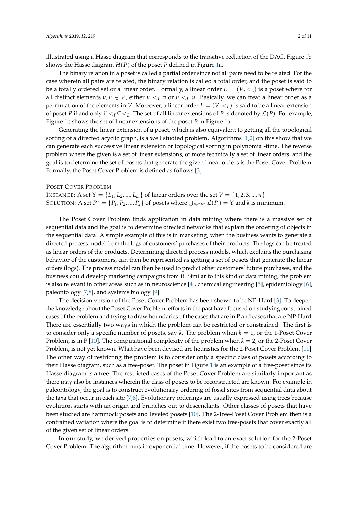illustrated using a Hasse diagram that corresponds to the transitive reduction of the DAG. Figure [1b](#page-1-0) shows the Hasse diagram *H*(*P*) of the poset *P* defined in Figure [1a](#page-1-0).

The binary relation in a poset is called a partial order since not all pairs need to be related. For the case wherein all pairs are related, the binary relation is called a total order, and the poset is said to be a totally ordered set or a linear order. Formally, a linear order  $L = (V, \leq_L)$  is a poset where for all distinct elements  $u, v \in V$ , either  $u \lt_L v$  or  $v \lt_L u$ . Basically, we can treat a linear order as a permutation of the elements in *V*. Moreover, a linear order  $L = (V, \leq_L)$  is said to be a linear extension of poset *P* if and only if  $\lt_{P} \subseteq \lt_{L}$ . The set of all linear extensions of *P* is denoted by  $\mathcal{L}(P)$ . For example, Figure [1c](#page-1-0) shows the set of linear extensions of the poset *P* in Figure [1a](#page-1-0).

Generating the linear extension of a poset, which is also equivalent to getting all the topological sorting of a directed acyclic graph, is a well studied problem. Algorithms [\[1](#page-11-0)[,2\]](#page-11-1) on this show that we can generate each successive linear extension or topological sorting in polynomial-time. The reverse problem where the given is a set of linear extensions, or more technically a set of linear orders, and the goal is to determine the set of posets that generate the given linear orders is the Poset Cover Problem. Formally, the Poset Cover Problem is defined as follows [\[3\]](#page-11-2):

#### POSET COVER PROBLEM

INSTANCE: A set  $Y = \{L_1, L_2, ..., L_m\}$  of linear orders over the set  $V = \{1, 2, 3, ..., n\}$ . SOLUTION: A set  $P^* = \{P_1, P_2, ..., P_k\}$  of posets where  $\bigcup_{P_i \in P^*} \mathcal{L}(P_i) = Y$  and *k* is minimum.

The Poset Cover Problem finds application in data mining where there is a massive set of sequential data and the goal is to determine directed networks that explain the ordering of objects in the sequential data. A simple example of this is in marketing, when the business wants to generate a directed process model from the logs of customers' purchases of their products. The logs can be treated as linear orders of the products. Determining directed process models, which explains the purchasing behavior of the customers, can then be represented as getting a set of posets that generate the linear orders (logs). The process model can then be used to predict other customers' future purchases, and the business could develop marketing campaigns from it. Similar to this kind of data mining, the problem is also relevant in other areas such as in neuroscience [\[4\]](#page-11-3), chemical engineering [\[5\]](#page-11-4), epidemiology [\[6\]](#page-11-5), paleontology [\[7,](#page-11-6)[8\]](#page-11-7), and systems biology [\[9\]](#page-11-8).

The decision version of the Poset Cover Problem has been shown to be NP-Hard [\[3\]](#page-11-2). To deepen the knowledge about the Poset Cover Problem, efforts in the past have focused on studying constrained cases of the problem and trying to draw boundaries of the cases that are in P and cases that are NP-Hard. There are essentially two ways in which the problem can be restricted or constrained. The first is to consider only a specific number of posets, say *k*. The problem when *k* = 1, or the 1-Poset Cover Problem, is in P [\[10\]](#page-11-9). The computational complexity of the problem when *k* = 2, or the 2-Poset Cover Problem, is not yet known. What have been devised are heuristics for the 2-Poset Cover Problem [\[11\]](#page-11-10). The other way of restricting the problem is to consider only a specific class of posets according to their Hasse diagram, such as a tree-poset. The poset in Figure [1](#page-1-0) is an example of a tree-poset since its Hasse diagram is a tree. The restricted cases of the Poset Cover Problem are similarly important as there may also be instances wherein the class of posets to be reconstructed are known. For example in paleontology, the goal is to construct evolutionary ordering of fossil sites from sequential data about the taxa that occur in each site [\[7](#page-11-6)[,8\]](#page-11-7). Evolutionary orderings are usually expressed using trees because evolution starts with an origin and branches out to descendants. Other classes of posets that have been studied are hammock posets and leveled posets [\[10\]](#page-11-9). The 2-Tree-Poset Cover Problem then is a contrained variation where the goal is to determine if there exist two tree-posets that cover exactly all of the given set of linear orders.

In our study, we derived properties on posets, which lead to an exact solution for the 2-Poset Cover Problem. The algorithm runs in exponential time. However, if the posets to be considered are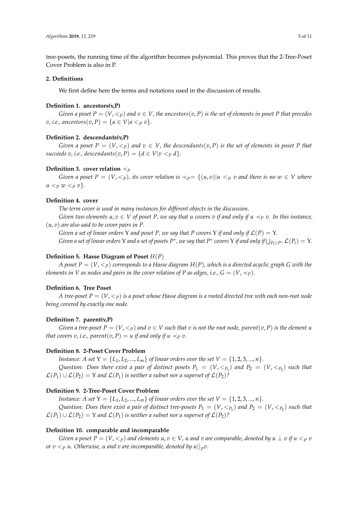tree-posets, the running time of the algorithm becomes polynomial. This proves that the 2-Tree-Poset Cover Problem is also in P.

# **2. Definitions**

We first define here the terms and notations used in the discussion of results.

#### **Definition 1. ancestors(v,P)**

*Given a poset*  $P = (V, \leq_P)$  *and*  $v \in V$ , the ancestors $(v, P)$  is the set of elements in poset P that precedes  $v, i.e., ancestors(v, P) = \{a \in V | a < p v\}.$ 

#### **Definition 2. descendants(v,P)**

*Given a poset*  $P = (V, \langle \rangle_P)$  *and*  $v \in V$ , the descendants(*v*, *P*) *is the set of elements in poset P that succeeds v, i.e., descendants*(*v, P*) = { $d \in V | v < p d$  }.

### **Definition 3. cover relation**  $\prec_{P}$

*Given a poset*  $P = (V, \langle \varphi \rangle)$ , its cover relation is  $\langle \varphi \rangle = \{(u, v) | u \langle \varphi \rangle\}$  and there is no  $w \in V$  where  $u < p$   $w < p$   $v$  $\}$ .

# **Definition 4. cover**

*The term cover is used in many instances for different objects in the discussion.*

*Given two elements*  $u, v \in V$  *of poset P, we say that u covers v if and only if*  $u \prec_P v$ *. In this instance,* (*u*, *v*) *are also said to be cover pairs in P.*

*Given a set of linear orders* Υ *and poset P, we say that P covers* Υ *if and only if* L(*P*) = Υ*. Given a set of linear orders*  $Y$  *and a set of posets*  $P^*$ *, we say that*  $P^*$  *covers*  $Y$  *if and only if*  $\bigcup_{P_i\in P^*}\mathcal{L}(P_i)=Y$ .

# **Definition 5. Hasse Diagram of Poset** *H*(*P*)

*A* poset  $P = (V, \leq_P)$  corresponds to a Hasse diagram  $H(P)$ , which is a directed acyclic graph G with the *elements in V as nodes and pairs in the cover relation of P as edges, i.e.,*  $G = (V, \prec_P)$ *.* 

# **Definition 6. Tree Poset**

*A* tree-poset  $P = (V, \langle p \rangle)$  *is a poset whose Hasse diagram is a rooted directed tree with each non-root node being covered by exactly one node.*

# **Definition 7. parent(v,P)**

*Given a tree-poset*  $P = (V, \leq_P)$  *and*  $v \in V$  *such that*  $v$  *is not the root node, parent*( $v, P$ ) *is the element*  $u$ *that covers v, i.e., parent*(*v, P*) = *u if and only if u*  $\prec_P v$ .

# **Definition 8. 2-Poset Cover Problem**

*Instance: A set*  $Y = \{L_1, L_2, ..., L_m\}$  *of linear orders over the set*  $V = \{1, 2, 3, ..., n\}$ *. Question:* Does there exist a pair of distinct posets  $P_1 = (V, \leq_{P_1})$  and  $P_2 = (V, \leq_{P_2})$  such that  $\mathcal{L}(P_1) \cup \mathcal{L}(P_2) = Y$  and  $\mathcal{L}(P_1)$  is neither a subset nor a superset of  $\mathcal{L}(P_2)$ ?

# **Definition 9. 2-Tree-Poset Cover Problem**

*Instance: A set*  $Y = \{L_1, L_2, ..., L_m\}$  *of linear orders over the set*  $V = \{1, 2, 3, ..., n\}$ *.* Question: Does there exist a pair of distinct tree-posets  $P_1 = (V, <_{P_1})$  and  $P_2 = (V, <_{P_2})$  such that  $\mathcal{L}(P_1) \cup \mathcal{L}(P_2) = Y$  and  $\mathcal{L}(P_1)$  is neither a subset nor a superset of  $\mathcal{L}(P_2)$ ?

# **Definition 10. comparable and incomparable**

Given a poset  $P = (V, <_P)$  and elements  $u, v \in V$ , u and v are comparable, denoted by  $u \perp v$  if  $u <_P v$ *or*  $v <_P u$ *. Otherwise,*  $u$  *and*  $v$  *are incomparable, denoted by*  $u||_P v$ *.*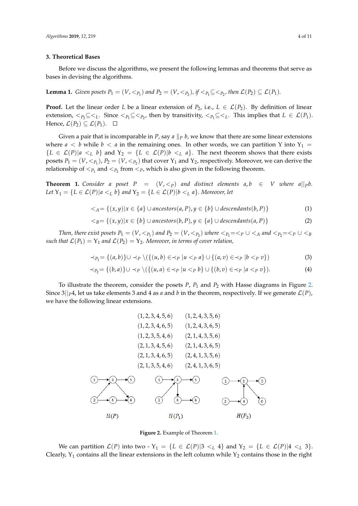### **3. Theoretical Bases**

Before we discuss the algorithms, we present the following lemmas and theorems that serve as bases in devising the algorithms.

<span id="page-4-4"></span>**Lemma 1.** *Given posets*  $P_1 = (V, <_{P_1})$  *and*  $P_2 = (V, <_{P_2})$ , *if*  $<_P_1 \subseteq <_{P_2}$ , then  $\mathcal{L}(P_2) \subseteq \mathcal{L}(P_1)$ .

**Proof.** Let the linear order *L* be a linear extension of *P*<sub>2</sub>, i.e.,  $L \in \mathcal{L}(P_2)$ . By definition of linear extension,  $\langle P_2 \subseteq \langle L \rangle$ . Since  $\langle P_1 \subseteq \langle P_2 \rangle$ , then by transitivity,  $\langle P_1 \subseteq \langle L \rangle$ . This implies that  $L \in \mathcal{L}(P_1)$ . Hence,  $\mathcal{L}(P_2) \subseteq \mathcal{L}(P_1)$ .  $\Box$ 

Given a pair that is incomparable in *P*, say *a*  $\Vert p \, b$ , we know that there are some linear extensions where  $a < b$  while  $b < a$  in the remaining ones. In other words, we can partition Y into Y<sub>1</sub> =  ${L \in \mathcal{L}(P)|a \leq_L b}$  and  $Y_2 = {L \in \mathcal{L}(P)|b \leq_L a}$ . The next theorem shows that there exists posets  $P_1 = (V, <_{P_1})$ ,  $P_2 = (V, <_{P_2})$  that cover  $Y_1$  and  $Y_2$ , respectively. Moreover, we can derive the relationship of  $\lt_{P_1}$  and  $\lt_{P_2}$  from  $\lt_{P}$ , which is also given in the following theorem.

<span id="page-4-1"></span>**Theorem 1.** *Consider a poset*  $P = (V, \leq_P)$  *and distinct elements*  $a, b \in V$  *where*  $a||_{P}b$ . *Let*  $Y_1 = \{L \in \mathcal{L}(P) | a \lt_L b\}$  and  $Y_2 = \{L \in \mathcal{L}(P) | b \lt_L a\}$ . Moreover, let

$$
\langle A = \{(x, y) | x \in \{a\} \cup ancestors(a, P), y \in \{b\} \cup descendants(b, P)\}\
$$
 (1)

<span id="page-4-5"></span>
$$
\langle B = \{(x, y) | x \in \{b\} \cup ancestors(b, P), y \in \{a\} \cup descendants(a, P)\}\
$$
 (2)

*Then, there exist posets*  $P_1 = (V, <_{P_1})$  and  $P_2 = (V, <_{P_2})$  where  $<_P_1 = <_P \cup <_A$  and  $<_P_2 = <_P \cup <_B$ *such that*  $\mathcal{L}(P_1) = Y_1$  *and*  $\mathcal{L}(P_2) = Y_2$ *. Moreover, in terms of cover relation,* 

<span id="page-4-2"></span>
$$
\prec_{P_1} = \{(a,b)\} \cup \prec_P \setminus (\{(u,b) \in \prec_P | u \prec_P a\} \cup \{(a,v) \in \prec_P | b \prec_P v\})
$$
\n(3)

<span id="page-4-3"></span>
$$
\prec_{P_2} = \{(b,a)\} \cup \prec_P \setminus (\{(u,a) \in \prec_P | u \prec_P b\} \cup \{(b,v) \in \prec_P | a \prec_P v\}).
$$
\n(4)

To illustrate the theorem, consider the posets *P*, *P*<sup>1</sup> and *P*<sup>2</sup> with Hasse diagrams in Figure [2.](#page-4-0) Since  $3||p4$ , let us take elements 3 and 4 as *a* and *b* in the theorem, respectively. If we generate  $\mathcal{L}(P)$ , we have the following linear extensions.

<span id="page-4-0"></span>
$$
(1,2,3,4,5,6) \qquad (1,2,4,3,5,6)
$$
\n
$$
(1,2,3,4,6,5) \qquad (1,2,4,3,6,5)
$$
\n
$$
(1,2,3,5,4,6) \qquad (2,1,4,3,5,6)
$$
\n
$$
(2,1,3,4,5,6) \qquad (2,1,4,3,6,5)
$$
\n
$$
(2,1,3,4,6,5) \qquad (2,4,1,3,5,6)
$$
\n
$$
(2,1,3,5,4,6) \qquad (2,4,1,3,6,5)
$$
\n
$$
(1) \qquad (3) \qquad (4) \qquad (5)
$$
\n
$$
(1) \qquad (4) \qquad (5)
$$
\n
$$
(1) \qquad (3) \qquad (5)
$$
\n
$$
(1) \qquad (4) \qquad (5)
$$
\n
$$
(1) \qquad (4) \qquad (5)
$$
\n
$$
(1) \qquad (4) \qquad (5)
$$
\n
$$
(1) \qquad (4) \qquad (5)
$$
\n
$$
(1) \qquad (4) \qquad (5)
$$
\n
$$
(1) \qquad (4) \qquad (5)
$$
\n
$$
(1) \qquad (4) \qquad (5)
$$
\n
$$
(1) \qquad (4) \qquad (5)
$$
\n
$$
(1) \qquad (4) \qquad (5)
$$
\n
$$
(1) \qquad (4) \qquad (5)
$$
\n
$$
(1) \qquad (4) \qquad (5)
$$
\n
$$
(1) \qquad (4) \qquad (5)
$$
\n
$$
(1) \qquad (4) \qquad (5)
$$
\n
$$
(1) \qquad (4) \qquad (5)
$$
\n
$$
(1) \qquad (4) \qquad (5)
$$
\n
$$
(1) \qquad (4) \qquad (5)
$$
\n
$$
(1) \qquad (4) \qquad (5)
$$

**Figure 2.** Example of Theorem [1.](#page-4-1)

We can partition  $\mathcal{L}(P)$  into two -  $Y_1 = \{L \in \mathcal{L}(P) | 3 \lt_L 4\}$  and  $Y_2 = \{L \in \mathcal{L}(P) | 4 \lt_L 3\}.$ Clearly,  $Y_1$  contains all the linear extensions in the left column while  $Y_2$  contains those in the right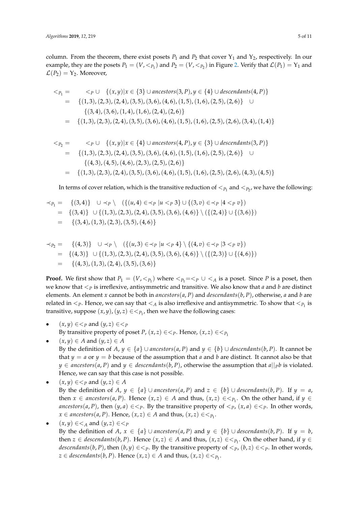column. From the theorem, there exist posets  $P_1$  and  $P_2$  that cover  $Y_1$  and  $Y_2$ , respectively. In our example, they are the posets  $P_1 = (V, <_{P_1})$  and  $P_2 = (V, <_{P_2})$  in Figure [2.](#page-4-0) Verify that  $\mathcal{L}(P_1) = Y_1$  and  $\mathcal{L}(P_2) = Y_2$ . Moreover,

$$
\langle P_1 = \langle P \cup \{(x,y) | x \in \{3\} \cup ancestors(3, P), y \in \{4\} \cup descendants(4, P)\}\
$$
  
= 
$$
\{(1,3), (2,3), (2,4), (3,5), (3,6), (4,6), (1,5), (1,6), (2,5), (2,6)\} \cup \{(3,4), (3,6), (1,4), (1,6), (2,4), (2,6)\}\
$$
  
= 
$$
\{(1,3), (2,3), (2,4), (3,5), (3,6), (4,6), (1,5), (1,6), (2,5), (2,6), (3,4), (1,4)\}\
$$

$$
\langle P_2 = \langle P \cup \{(x, y) | x \in \{4\} \cup ancestors(4, P), y \in \{3\} \cup descendants(3, P)\}\rangle
$$
  
= {(1, 3), (2, 3), (2, 4), (3, 5), (3, 6), (4, 6), (1, 5), (1, 6), (2, 5), (2, 6)}   
{(4, 3), (4, 5), (4, 6), (2, 3), (2, 5), (2, 6)}  
= {(1, 3), (2, 3), (2, 4), (3, 5), (3, 6), (4, 6), (1, 5), (1, 6), (2, 5), (2, 6), (4, 3), (4, 5)}

In terms of cover relation, which is the transitive reduction of  $<_{P_1}$  and  $<_{P_2}$ , we have the following:

$$
\begin{aligned}\n&\prec_{P_1} = \{ (3,4) \} \quad \cup \prec_P \setminus \quad (\{ (u,4) \in \prec_P | u \prec_P 3 \} \cup \{ (3,v) \in \prec_P | 4 \prec_P v \}) \\
&= \{ (3,4) \} \quad \cup \{ (1,3), (2,3), (2,4), (3,5), (3,6), (4,6) \} \setminus (\{ (2,4) \} \cup \{ (3,6) \}) \\
&= \{ (3,4), (1,3), (2,3), (3,5), (4,6) \}\n\end{aligned}
$$

$$
\prec_{P_2} = \{(4,3)\} \cup \prec_P \setminus (\{(u,3) \in \prec_P | u \prec_P 4\} \setminus \{(4,v) \in \prec_P | 3 \prec_P v\})
$$
  
= \{(4,3)\} \cup \{(1,3), (2,3), (2,4), (3,5), (3,6), (4,6)\} \setminus (\{(2,3)\} \cup \{(4,6)\})  
= \{(4,3), (1,3), (2,4), (3,5), (3,6)\}

**Proof.** We first show that  $P_1 = (V, <_{P_1})$  where  $<_P_1 = <_P \cup <_A$  is a poset. Since P is a poset, then we know that <*<sup>P</sup>* is irreflexive, antisymmetric and transitive. We also know that *a* and *b* are distinct elements. An element *x* cannot be both in *ancestors*(*a*, *P*) and *descendants*(*b*, *P*), otherwise, *a* and *b* are related in  $\lt_{P}$ . Hence, we can say that  $\lt_A$  is also irreflexive and antisymmetric. To show that  $\lt_{P_1}$  is transitive, suppose  $(x, y)$ ,  $(y, z) \in \leq_{P_1}$ , then we have the following cases:

- $(x, y) \in \leq_P$  and  $(y, z) \in \leq_P$ By transitive property of poset *P*,  $(x, z) \in \leq_P$ . Hence,  $(x, z) \in \leq_P$
- $(x, y) \in A$  and  $(y, z) \in A$
- By the definition of  $A, y \in \{a\} \cup \text{ancestors}(a, P)$  and  $y \in \{b\} \cup \text{descendants}(b, P)$ . It cannot be that  $y = a$  or  $y = b$  because of the assumption that *a* and *b* are distinct. It cannot also be that *y* ∈ *ancestors*( $a$ ,  $P$ ) and  $y$  ∈ *descendants*( $b$ ,  $P$ ), otherwise the assumption that  $a||p$ *b* is violated. Hence, we can say that this case is not possible.
- $(x, y) \in \leq_P$  and  $(y, z) \in A$ By the definition of *A*,  $y \in \{a\} \cup \text{ancestors}(a, P)$  and  $z \in \{b\} \cup \text{descendants}(b, P)$ . If  $y = a$ , then  $x \in \text{ancestors}(a, P)$ . Hence  $(x, z) \in A$  and thus,  $(x, z) \in \leq_{P_1}$ . On the other hand, if  $y \in$ *ancestors*(*a*, *P*), then  $(y, a) \in \leq_P$ . By the transitive property of  $\leq_P$ ,  $(x, a) \in \leq_P$ . In other words,  $x \in \text{ancestors}(a, P)$ . Hence,  $(x, z) \in A$  and thus,  $(x, z) \in \leq_{P_1}$ .
- $(x, y) \in \leq_A$  and  $(y, z) \in \leq_P$ By the definition of *A*,  $x \in \{a\} \cup \text{ancestors}(a, P)$  and  $y \in \{b\} \cup \text{descendants}(b, P)$ . If  $y = b$ , then  $z \in$  *descendants*(*b*, *P*). Hence  $(x, z) \in A$  and thus,  $(x, z) \in \leq_{P_1}$ . On the other hand, if  $y \in$ *descendants*(*b*, *P*), then  $(b, y) \in \leq_P$ . By the transitive property of  $\leq_P$ ,  $(b, z) \in \leq_P$ . In other words,  $z \in$  *descendants*(*b*, *P*). Hence  $(x, z) \in A$  and thus,  $(x, z) \in \leq_{P_1}$ .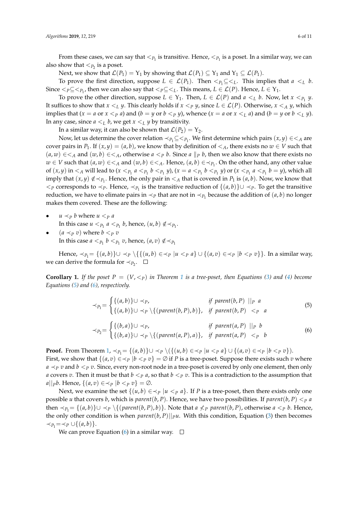From these cases, we can say that  $<_{P_1}$  is transitive. Hence,  $<_{P_1}$  is a poset. In a similar way, we can also show that  $\lt_{P_2}$  is a poset.

Next, we show that  $\mathcal{L}(P_1) = Y_1$  by showing that  $\mathcal{L}(P_1) \subseteq Y_1$  and  $Y_1 \subseteq \mathcal{L}(P_1)$ .

To prove the first direction, suppose  $L \in \mathcal{L}(P_1)$ . Then  $\langle P_1 \subseteq \langle L \rangle$ . This implies that  $a \langle L \rangle b$ . Since  $<_P \subseteq <_{P_1}$ , then we can also say that  $<_P \subseteq <_L$ . This means,  $L \in \mathcal{L}(P)$ . Hence,  $L \in Y_1$ .

To prove the other direction, suppose  $L \in Y_1$ . Then,  $L \in \mathcal{L}(P)$  and  $a \lt_L b$ . Now, let  $x \lt_{P_1} y$ . It suffices to show that  $x \leq_L y$ . This clearly holds if  $x \leq_P y$ , since  $L \in \mathcal{L}(P)$ . Otherwise,  $x \leq_A y$ , which implies that  $(x = a \text{ or } x < p a)$  and  $(b = y \text{ or } b < p y)$ , whence  $(x = a \text{ or } x < p a)$  and  $(b = y \text{ or } b < p y)$ . In any case, since  $a <_L b$ , we get  $x <_L y$  by transitivity.

In a similar way, it can also be shown that  $\mathcal{L}(P_2) = Y_2$ .

Now, let us determine the cover relation  $\prec_{P_1} \subseteq \leq_{P_1}$ . We first determine which pairs  $(x, y) \in \leq_A$  are cover pairs in  $P_1$ . If  $(x, y) = (a, b)$ , we know that by definition of  $\lt A$ , there exists no  $w \in V$  such that  $(a, w) \in \leq_A$  and  $(w, b) \in \leq_A$ , otherwise  $a \leq_P b$ . Since  $a \|_P b$ , then we also know that there exists no  $w \in V$  such that  $(a, w) \in \leq_A$  and  $(w, b) \in \leq_A$ . Hence,  $(a, b) \in \leq_{P_1}$ . On the other hand, any other value of  $(x, y)$  in  $\lt_A$  will lead to  $(x \lt_{P_1} a \lt_{P_1} b \lt_{P_1} y)$ ,  $(x = a \lt_{P_1} b \lt_{P_1} y)$  or  $(x \lt_{P_1} a \lt_{P_1} b = y)$ , which all imply that  $(x, y) \notin \prec_{P_1}$ . Hence, the only pair in  $\prec_A$  that is covered in  $P_1$  is  $(a, b)$ . Now, we know that <*<sup>P</sup>* corresponds to ≺*P*. Hence, ≺*P*<sup>1</sup> is the transitive reduction of {(*a*, *b*)}∪ ≺*P*. To get the transitive reduction, we have to elimate pairs in  $\prec_P$  that are not in  $\prec_{P_1}$  because the addition of  $(a, b)$  no longer makes them covered. These are the following:

- $u \prec_P b$  where  $u \prec_P a$ In this case  $u <_{P_1} a <_{P_1} b$ , hence,  $(u, b) \notin \prec_{P_1}$ .
- $(a \prec_P v)$  where  $b \leq_P v$ In this case  $a <_{P_1} b <_{P_1} v$ , hence,  $(a, v) \notin \prec_{P_1}$

Hence,  $\prec_{P_1}$  = {(*a*, *b*)}∪  $\prec_P$  \{{(*u*, *b*) ∈  $\prec_P$  |*u*  $\prec_P$  *a*} ∪ {(*a*, *v*) ∈  $\prec_P$  |*b*  $\prec_P$  *v*}}. In a similar way, we can derive the formula for  $\prec_{P_2}$ .

<span id="page-6-2"></span>**Corollary [1](#page-4-1).** If the poset  $P = (V,  in Theorem 1 is a tree-poset, then Equations [\(3\)](#page-4-2) and [\(4\)](#page-4-3) become$ *Equations [\(5\)](#page-6-0) and [\(6\)](#page-6-1), respectively.*

<span id="page-6-1"></span><span id="page-6-0"></span>
$$
\prec_{P_1} = \begin{cases}\n\{(a, b)\} \cup \prec_P, & \text{if parent}(b, P) ||_P \ a \\
\{(a, b)\} \cup \prec_P \setminus \{(parent(b, P), b)\}, & \text{if parent}(b, P) \ <_P \ a \\
\prec_{P_2} = \begin{cases}\n\{(b, a)\} \cup \prec_P, & \text{if parent}(a, P) ||_P \ b \\
\{(b, a)\} \cup \prec_P \setminus \{(parent(a, P), a)\}, & \text{if parent}(a, P) \ <_P \ b\n\end{cases}
$$
\n(6)

**Proof.** From Theorem  $1, \prec_{P_1} = \{(a, b)\} \cup \prec_P \setminus (\{(u, b) \in \prec_P | u \prec_P a\} \cup \{(a, v) \in \prec_P | b \prec_P v\}).$  $1, \prec_{P_1} = \{(a, b)\} \cup \prec_P \setminus (\{(u, b) \in \prec_P | u \prec_P a\} \cup \{(a, v) \in \prec_P | b \prec_P v\}).$ First, we show that  $\{(a, v) \in \neg p \mid b \leq p v\} = \emptyset$  if *P* is a tree-poset. Suppose there exists such *v* where  $a \prec_P v$  and  $b \prec_P v$ . Since, every non-root node in a tree-poset is covered by only one element, then only *a* covers *v*. Then it must be that  $b < p$  *a*, so that  $b < p$  *v*. This is a contradiction to the assumption that *a* $||pb$ . Hence,  ${(a, v) \in \prec_P |b < p v} = ∅.$ 

Next, we examine the set  $\{(u, b) \in \prec_P | u \leq P} a\}$ . If *P* is a tree-poset, then there exists only one possible *u* that covers *b*, which is *parent*(*b*, *P*). Hence, we have two possibilities. If *parent*(*b*, *P*)  $\lt p$  *a* then  $\prec_{P_1}$  = {(*a*, *b*)}∪  $\prec_{P}$  \{(*parent*(*b*, *P*), *b*)}. Note that *a*  $\not\leq_P$  *parent*(*b*, *P*), otherwise *a*  $\lt p$  *b*. Hence, the only other condition is when  $parent(b, P)||_{P}u$ . With this condition, Equation [\(3\)](#page-4-2) then becomes  $\prec_{P_1} = \prec_P \cup \{(a, b)\}.$ 

We can prove Equation [\(6\)](#page-6-1) in a similar way.  $\square$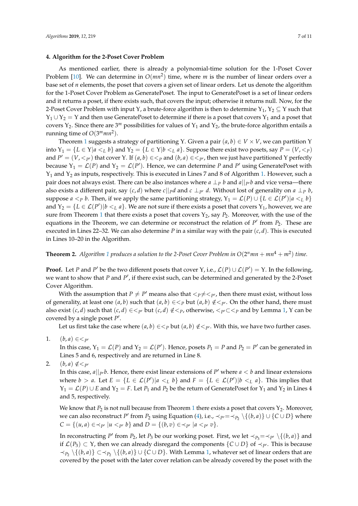### **4. Algorithm for the 2-Poset Cover Problem**

As mentioned earlier, there is already a polynomial-time solution for the 1-Poset Cover Problem  $[10]$ . We can determine in  $O(mn^2)$  time, where m is the number of linear orders over a base set of *n* elements, the poset that covers a given set of linear orders. Let us denote the algorithm for the 1-Poset Cover Problem as GeneratePoset. The input to GeneratePoset is a set of linear orders and it returns a poset, if there exists such, that covers the input; otherwise it returns null. Now, for the 2-Poset Cover Problem with input Y, a brute-force algorithm is then to determine  $Y_1, Y_2 \subseteq Y$  such that  $Y_1 \cup Y_2 = Y$  and then use GeneratePoset to determine if there is a poset that covers  $Y_1$  and a poset that covers  $Y_2$ . Since there are 3<sup>*m*</sup> possibilities for values of  $Y_1$  and  $Y_2$ , the brute-force algorithm entails a running time of *O*(3 *<sup>m</sup>mn*<sup>2</sup> ).

Theorem [1](#page-4-1) suggests a strategy of partitioning Y. Given a pair  $(a, b) \in V \times V$ , we can partition Y into  $Y_1 = \{L \in Y | a \lt_L b\}$  and  $Y_2 = \{L \in Y | b \lt_L a\}$ . Suppose there exist two posets, say  $P = (V, \lt_P)$ and  $P' = (V, <_{P'})$  that cover Y. If  $(a, b) \in <_P a$ nd  $(b, a) \in <_{P'}$ , then we just have partitioned Y perfectly because  $Y_1 = \mathcal{L}(P)$  and  $Y_2 = \mathcal{L}(P')$ . Hence, we can determine P and P' using GeneratePoset with Υ<sup>1</sup> and Υ<sup>2</sup> as inputs, respectively. This is executed in Lines 7 and 8 of Algorithm [1.](#page-8-0) However, such a pair does not always exist. There can be also instances where  $a \perp_p b$  and  $a||_{p}b$  and vice versa—there also exists a different pair, say  $(c, d)$  where  $c||pd$  and  $c \perp_{P'} d$ . Without lost of generality on  $a \perp_{P} b$ , suppose  $a < p$  *b*. Then, if we apply the same partitioning strategy,  $Y_1 = \mathcal{L}(P) \cup \{L \in \mathcal{L}(P') | a < L b\}$ and  $Y_2 = \{L \in \mathcal{L}(P') | b \lt_L a\}$ . We are not sure if there exists a poset that covers  $Y_1$ , however, we are sure from Theorem [1](#page-4-1) that there exists a poset that covers Y<sub>2</sub>, say  $P_2$ . Moreover, with the use of the equations in the Theorem, we can determine or reconstruct the relation of  $P'$  from  $P_2$ . These are executed in Lines 22–32. We can also determine *P* in a similar way with the pair (*c*, *d*). This is executed in Lines 10–20 in the Algorithm.

# <span id="page-7-0"></span>**Theorem 2.** Algorithm [1](#page-8-0) produces a solution to the 2-Poset Cover Problem in  $O(2^n m n + m n^4 + m^2)$  time.

**Proof.** Let *P* and *P*<sup>'</sup> be the two different posets that cover Y, i.e.,  $\mathcal{L}(P) \cup \mathcal{L}(P') = Y$ . In the following, we want to show that *P* and *P'*, if there exist such, can be determined and generated by the 2-Poset Cover Algorithm.

With the assumption that  $P \neq P'$  means also that  $\langle P \neq \langle P \rangle$ , then there must exist, without loss of generality, at least one  $(a, b)$  such that  $(a, b) \in \langle P \rangle$  but  $(a, b) \notin \langle P \rangle$ . On the other hand, there must also exist  $(c, d)$  such that  $(c, d) \in \langle P \rangle$  but  $(c, d) \notin \langle P \rangle$ , otherwise,  $\langle P \rangle \subset \langle P \rangle$  and by Lemma [1,](#page-4-4) Y can be covered by a single poset  $P'$ .

Let us first take the case where  $(a, b) \in \leq_P$  but  $(a, b) \notin \leq_{P'}$ . With this, we have two further cases.

1.  $(b, a) \in \leq_{p}$ 

In this case,  $Y_1 = \mathcal{L}(P)$  and  $Y_2 = \mathcal{L}(P')$ . Hence, posets  $P_1 = P$  and  $P_2 = P'$  can be generated in Lines 5 and 6, respectively and are returned in Line 8.

2.  $(b, a) \notin \leq_{p}$ 

In this case,  $a||_{P}$ , *b*. Hence, there exist linear extensions of  $P'$  where  $a < b$  and linear extensions where  $b > a$ . Let  $E = \{L \in \mathcal{L}(P') | a \leq_L b\}$  and  $F = \{L \in \mathcal{L}(P') | b \leq_L a\}$ . This implies that  $Y_1 = \mathcal{L}(P) \cup E$  and  $Y_2 = F$ . Let  $P_1$  and  $P_2$  be the return of GeneratePoset for  $Y_1$  and  $Y_2$  in Lines 4 and 5, respectively.

We know that *P*<sub>2</sub> is not null because from Theorem [1](#page-4-1) there exists a poset that covers *Y*<sub>2</sub>. Moreover, we can also reconstruct *P*<sup> $\prime$ </sup> from *P*<sub>2</sub> using Equation [\(4\)](#page-4-3), i.e.,  $\prec_{P'} = \prec_{P_2} \setminus \{(b, a)\} \cup \{C \cup D\}$  where *C* = {(*u*, *a*) ∈ ≺<sub>*P'*</sub> |*u* < *p' b*} and *D* = {(*b*, *v*) ∈ ≺<sub>*P'*</sub> |*a* < *p' v*}.

In reconstructing *P*<sup> $\prime$ </sup> from *P*<sub>2</sub>, let *P*<sub>3</sub> be our working poset. First, we let  $\prec_{P_3} = \prec_{P'} \setminus \{(b, a)\}$  and if  $\mathcal{L}(P_3) \subset Y$ , then we can already disregard the components  $\{C \cup D\}$  of  $\prec_{P'}$ . This is because  $\prec_{P_2} \setminus \{(b,a)\}$  ⊂  $\prec_{P_2} \setminus \{(b,a)\}$  ∪ {*C* ∪ *D*}. With Lemma [1,](#page-4-4) whatever set of linear orders that are covered by the poset with the later cover relation can be already covered by the poset with the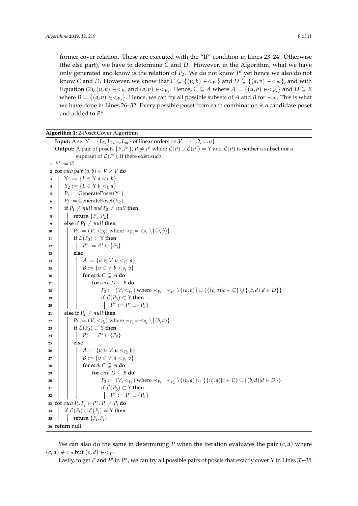former cover relation. These are executed with the "If" condition in Lines 23–24. Otherwise (the else part), we have to determine *C* and *D*. However, in the Algorithm, what we have only generated and know is the relation of  $P_2$ . We do not know  $P'$  yet hence we also do not know *C* and *D*. However, we know that  $C \subseteq \{(u,b) \in \lt_{P'}\}$  and  $D \subseteq \{(a,v) \in \lt_{P'}\}$ , and with Equation [\(2\)](#page-4-5),  $(u, b) \in \lt_{P_2}$  and  $(a, v) \in \lt_{P_2}$ . Hence,  $C \subseteq A$  where  $A = \{(u, b) \in \lt_{P_2}\}$  and  $D \subseteq B$ where  $B = \{(a, v) \in \lt_{P_2}\}$ . Hence, we can try all possible subsets of *A* and *B* for  $\lt_{P_3}$ . This is what we have done in Lines 26–32. Every possible poset from each combination is a candidate poset and added to *P* ∗ .

**Algorithm 1:** 2-Poset Cover Algorithm

**Input:** A set  $Y = \{L_1, L_2, ..., L_m\}$  of linear orders on  $V = \{1, 2, ..., n\}$ **Output:** A pair of posets  $\{P, P'\}$ ,  $P \neq P'$  where  $\mathcal{L}(P) \cup \mathcal{L}(P') = Y$  and  $\mathcal{L}(P)$  is neither a subset nor a superset of  $\mathcal{L}(P')$ , if there exist such. **<sup>1</sup>** *P* ∗ := ∅ **for** *each pair*  $(a, b) \in V \times V$  **do**   $\bigg|$  **Y**<sub>1</sub> := {*L*  $\in$  Y|*a* <*L b*}  $\big| Y_2 := \{ L \in Y | b <_L a \}$   $P_1 := \text{GeneratePoset}(Y_1)$   $P_2 := \text{GeneratePoset}(Y_2)$   $\vert$  **if**  $P_1 \neq null$  and  $P_2 \neq null$  then **return**  $\{P_1, P_2\}$  **else if**  $P_1 \neq null$  **then**  $\Big|$   $P_3 := (V, \leq_{P_3})$  where  $\prec_{P_3} = \prec_{P_1} \setminus \{(a, b)\}$  **if**  $\mathcal{L}(P_3) \subset Y$  **then**  $\begin{array}{|c|c|c|c|}\n\hline\n12 & & P^* := P^* \cup \{P_3\} \end{array}$ **<sup>13</sup> else**  $A := \{u \in V | u <_{P_1} a\}$  $\mathbf{B} := \{ v \in V | b <_{P_1} v \}$  **for** *each*  $C \subseteq A$  **do for** *each D* ⊆ *B* **do**  $\vert$  **P**<sub>3</sub> := (*V*,  $\langle P_3 \rangle$ ) where  $\prec_{P_3} = \prec_{P_1} \setminus \{(a, b)\} \cup \{ \{(c, a) | c \in C\} \cup \{(b, d) | d \in D\} \}$  **i if**  $\mathcal{L}(P_3) \subset Y$  **then | | | | | | | |**  $P^* := P^* \cup \{P_3\}$  **else if**  $P_2 \neq null$  **then**  $\vert P_3 := (V, <_{P_3})$  where  $\prec_{P_3} = \prec_{P_2} \setminus \{(b, a)\}$  **i if**  $\mathcal{L}(P_3) \subset Y$  **then**  $\begin{array}{|c|c|c|c|}\n\hline\n24 & & P^* := P^* \cup \{P_3\} \end{array}$ **<sup>25</sup> else**  $\begin{bmatrix} \n\end{bmatrix}$   $A := \{ u \in V | u \lt_{P_2} b \}$   $B := \{v \in V | a <_{P_2} v\}$  **for** *each*  $C \subseteq A$  **do for** *each D* ⊆ *B* **do**  $\begin{bmatrix} P_3 := (V, <_{P_3}) \text{ where } \prec_{P_3} = \prec_{P_2} \setminus \{(b, a)\} \cup \{ \{(c, a) | c \in C\} \cup \{(b, d) | d \in D \} \}$  **i if**  $\mathcal{L}(P_3) \subset Y$  **then**  $\begin{array}{|c|c|c|c|c|}\n\hline\n32 & & | & | & | & | & P^* := P^* \cup \{P_3\} \end{array}$  **for** *each*  $P_i$ ,  $P_j \in P^*$ ,  $P_i \neq P_j$  **do if**  $\mathcal{L}(P_i) \cup \mathcal{L}(P_j) = Y$  **then**  $\mathbf{35}$  **return**  $\{P_i, P_j\}$ **return** null

<span id="page-8-0"></span>We can also do the same in determining *P* when the iteration evaluates the pair  $(c, d)$  where  $(c,d) \notin \leq_P \text{but } (c,d) \in \leq_{P'}$ .

Lastly, to get *P* and *P'* in *P*<sup>\*</sup>, we can try all possible pairs of posets that exactly cover Y in Lines 33–35.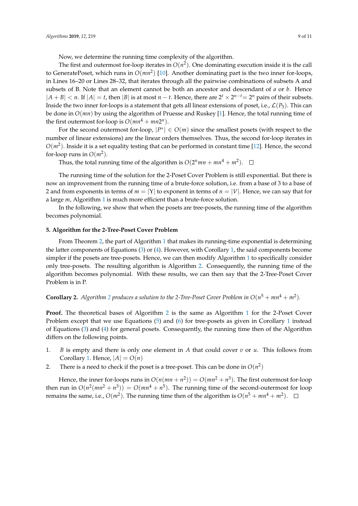Now, we determine the running time complexity of the algorithm.

The first and outermost for-loop iterates in  $O(n^2)$ . One dominating execution inside it is the call to GeneratePoset, which runs in *O*(*mn*<sup>2</sup> ) [\[10\]](#page-11-9). Another dominating part is the two inner for-loops, in Lines 16–20 or Lines 28–32, that iterates through all the pairwise combinations of subsets A and subsets of B. Note that an element cannot be both an ancestor and descendant of *a* or *b*. Hence  $|A + B| < n$ . If  $|A| = t$ , then  $|B|$  is at most  $n - t$ . Hence, there are  $2^t \times 2^{n-t} = 2^n$  pairs of their subsets. Inside the two inner for-loops is a statement that gets all linear extensions of poset, i.e.,  $\mathcal{L}(P_3)$ . This can be done in *O*(*mn*) by using the algorithm of Pruesse and Ruskey [\[1\]](#page-11-0). Hence, the total running time of the first outermost for-loop is  $O(mn^4 + mn2^n)$ .

For the second outermost for-loop,  $|P^*| \in O(m)$  since the smallest posets (with respect to the number of linear extensions) are the linear orders themselves. Thus, the second for-loop iterates in  $O(m^2)$ . Inside it is a set equality testing that can be performed in constant time [\[12\]](#page-11-11). Hence, the second for-loop runs in  $O(m^2)$ .

Thus, the total running time of the algorithm is  $O(2^n mn + mn^4 + m^2)$ .

The running time of the solution for the 2-Poset Cover Problem is still exponential. But there is now an improvement from the running time of a brute-force solution, i.e. from a base of 3 to a base of 2 and from exponents in terms of *m* = |Υ| to exponent in terms of *n* = |*V*|. Hence, we can say that for a large *m*, Algorithm [1](#page-8-0) is much more efficient than a brute-force solution.

In the following, we show that when the posets are tree-posets, the running time of the algorithm becomes polynomial.

#### **5. Algorithm for the 2-Tree-Poset Cover Problem**

From Theorem [2,](#page-7-0) the part of Algorithm [1](#page-8-0) that makes its running-time exponential is determining the latter components of Equations [\(3\)](#page-4-2) or [\(4\)](#page-4-3). However, with Corollary [1,](#page-6-2) the said components become simpler if the posets are tree-posets. Hence, we can then modify Algorithm [1](#page-8-0) to specifically consider only tree-posets. The resulting algorithm is Algorithm [2.](#page-10-0) Consequently, the running time of the algorithm becomes polynomial. With these results, we can then say that the 2-Tree-Poset Cover Problem is in P.

**Corollary [2](#page-10-0).** Algorithm 2 produces a solution to the 2-Tree-Poset Cover Problem in  $O(n^5 + mn^4 + m^2)$ .

**Proof.** The theoretical bases of Algorithm [2](#page-10-0) is the same as Algorithm [1](#page-8-0) for the 2-Poset Cover Problem except that we use Equations [\(5\)](#page-6-0) and [\(6\)](#page-6-1) for tree-posets as given in Corollary [1](#page-6-2) instead of Equations [\(3\)](#page-4-2) and [\(4\)](#page-4-3) for general posets. Consequently, the running time then of the Algorithm differs on the following points.

- 1. *B* is empty and there is only one element in *A* that could cover *v* or *u*. This follows from Corollary [1.](#page-6-2) Hence,  $|A| = O(n)$
- 2. There is a need to check if the poset is a tree-poset. This can be done in  $O(n^2)$

Hence, the inner for-loops runs in  $O(n(mn + n^2)) = O(mn^2 + n^3)$ . The first outermost for-loop then run in  $O(n^2(mn^2 + n^3)) = O(mn^4 + n^5)$ . The running time of the second-outermost for loop remains the same, i.e.,  $O(m^2)$ . The running time then of the algorithm is  $O(n^5 + mn^4 + m^2)$ .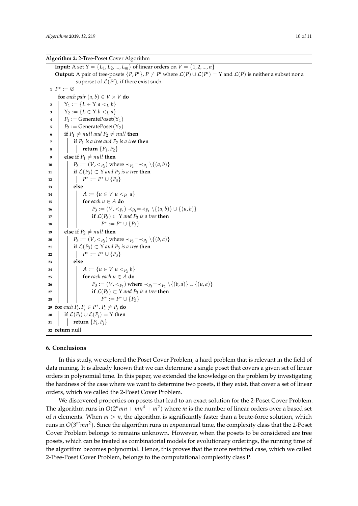**Input:** A set  $Y = \{L_1, L_2, ..., L_m\}$  of linear orders on  $V = \{1, 2, ..., n\}$ **Output:** A pair of tree-posets  $\{P, P'\}$ ,  $P \neq P'$  where  $\mathcal{L}(P) \cup \mathcal{L}(P') = Y$  and  $\mathcal{L}(P)$  is neither a subset nor a superset of  $\mathcal{L}(P')$ , if there exist such. **<sup>1</sup>** *P* ∗ := ∅ **for** *each pair*  $(a, b) \in V \times V$  **do**   $\big|$  **Y**<sub>1</sub> := { $L \in \Upsilon | a \lt_L b$ }  $\big| Y_2 := \{ L \in Y | b <_L a \}$   $P_1 := \text{GeneratePoset}(Y_1)$   $P_2 := \text{GeneratePoset}(Y_2)$  **if**  $P_1 \neq null$  and  $P_2 \neq null$  **then**  $\sigma$  **if**  $P_1$  *is a tree and*  $P_2$  *is a tree then*   $\vert$  **return**  $\{P_1, P_2\}$  **else** if  $P_1 \neq null$  then  $\Big|$   $P_3 := (V, \leq_{P_3})$  where  $\prec_{P_3} = \prec_{P_1} \setminus \{(a, b)\}$  **if**  $\mathcal{L}(P_3) \subset Y$  *and*  $P_3$  *is a tree* **then**  $12 \quad | \quad | \quad P^* := P^* \cup \{P_3\}$ **<sup>13</sup> else**  $A := \{u \in V | u <_{P_1} a\}$  **for** *each*  $u \in A$  **do**   $\vert$   $\vert$   $\vert$   $\vert$   $\vert$   $P_3 := (V, \leq_{P_3}) \prec_{P_3} = \prec_{P_1} \setminus \{(a, b)\} \cup \{(u, b)\}$  **i if**  $\mathcal{L}(P_3) \subset Y$  *and*  $P_3$  *is a tree* **then**   $\begin{array}{|c|c|c|c|} \hline \rule{0.2cm}{0.2cm} & P^* := P^* \cup \{P_3\} \hline \end{array}$  **else if**  $P_2 \neq null$  **then**  $\vert P_3 := (V, <_{P_3})$  where  $\prec_{P_3} = \prec_{P_2} \setminus \{(b, a)\}$  **if**  $\mathcal{L}(P_3) \subset Y$  *and*  $P_3$  *is a tree* **then**  $\begin{array}{|c|c|c|c|}\n\hline\n22 & & | & | & P^* := P^* \cup \{P_3\} \end{array}$ **<sup>23</sup> else**  $\begin{bmatrix} \end{bmatrix}$   $A := \{u \in V | u <_{P_2} b\}$  **for** *each each*  $u \in A$  **do**   $\vert$  **P**<sub>3</sub> := (*V*,  $\langle P_3 \rangle$  where  $\prec_{P_3} = \prec_{P_2} \setminus \{(b, a)\} \cup \{(u, a)\}$  **i if**  $\mathcal{L}(P_3) \subset Y$  *and*  $P_3$  *is a tree* **then**  $\begin{array}{|c|c|c|c|c|}\n \hline\n & & & \n\end{array} \begin{array}{|c|c|c|c|}\n \hline\n & & & P^* := P^* \cup \{P_3\} \ \hline\n \end{array}$  **for** each  $P_i$ ,  $P_j \in P^*$ ,  $P_i \neq P_j$  **do if**  $\mathcal{L}(P_i) \cup \mathcal{L}(P_j) = Y$  **then**  $\mathbf{31}$  **return**  $\{P_i, P_j\}$ **return** null

#### <span id="page-10-0"></span>**6. Conclusions**

In this study, we explored the Poset Cover Problem, a hard problem that is relevant in the field of data mining. It is already known that we can determine a single poset that covers a given set of linear orders in polynomial time. In this paper, we extended the knowledge on the problem by investigating the hardness of the case where we want to determine two posets, if they exist, that cover a set of linear orders, which we called the 2-Poset Cover Problem.

We discovered properties on posets that lead to an exact solution for the 2-Poset Cover Problem. The algorithm runs in  $O(2^n m n + m n^4 + m^2)$  where  $m$  is the number of linear orders over a based set of *n* elements. When  $m > n$ , the algorithm is significantly faster than a brute-force solution, which runs in  $O(3^m mn^2)$ . Since the algorithm runs in exponential time, the complexity class that the 2-Poset Cover Problem belongs to remains unknown. However, when the posets to be considered are tree posets, which can be treated as combinatorial models for evolutionary orderings, the running time of the algorithm becomes polynomial. Hence, this proves that the more restricted case, which we called 2-Tree-Poset Cover Problem, belongs to the computational complexity class P.